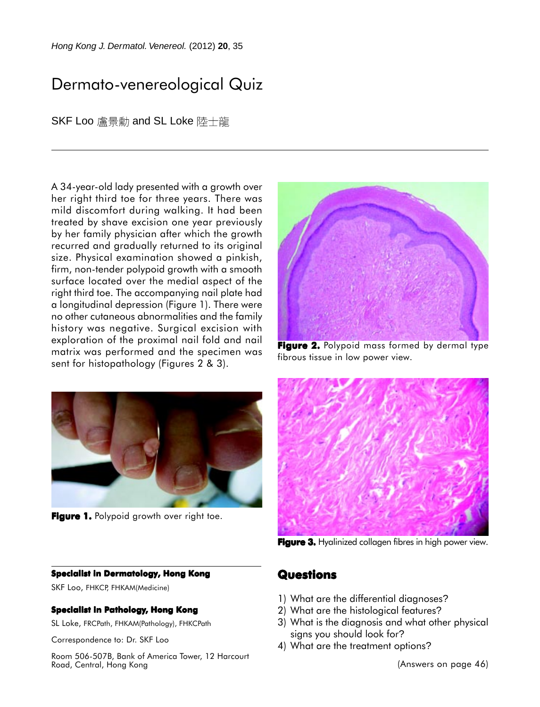*Hong Kong J. Dermatol. Venereol.* (2012) **20**, 35

# Dermato-venereological Quiz

SKF Loo 盧景勳 and SL Loke 陸士龍

A 34-year-old lady presented with a growth over her right third toe for three years. There was mild discomfort during walking. It had been treated by shave excision one year previously by her family physician after which the growth recurred and gradually returned to its original size. Physical examination showed a pinkish, firm, non-tender polypoid growth with a smooth surface located over the medial aspect of the right third toe. The accompanying nail plate had a longitudinal depression (Figure 1). There were no other cutaneous abnormalities and the family history was negative. Surgical excision with exploration of the proximal nail fold and nail matrix was performed and the specimen was sent for histopathology (Figures 2 & 3).



**Figure 1.** Polypoid growth over right toe.

#### **Specialist in Dermatology, Hong Kong**

SKF Loo, FHKCP, FHKAM(Medicine)

#### **Specialist in Pathology, Hong Kong**

SL Loke, FRCPath, FHKAM(Pathology), FHKCPath

Correspondence to: Dr. SKF Loo

Room 506-507B, Bank of America Tower, 12 Harcourt Road, Central, Hong Kong



**Figure 2.** Polypoid mass formed by dermal type fibrous tissue in low power view.



Figure 3. Hyalinized collagen fibres in high power view.

### **Questions**

- 1) What are the differential diagnoses?
- 2) What are the histological features?
- 3) What is the diagnosis and what other physical signs you should look for?
- 4) What are the treatment options?